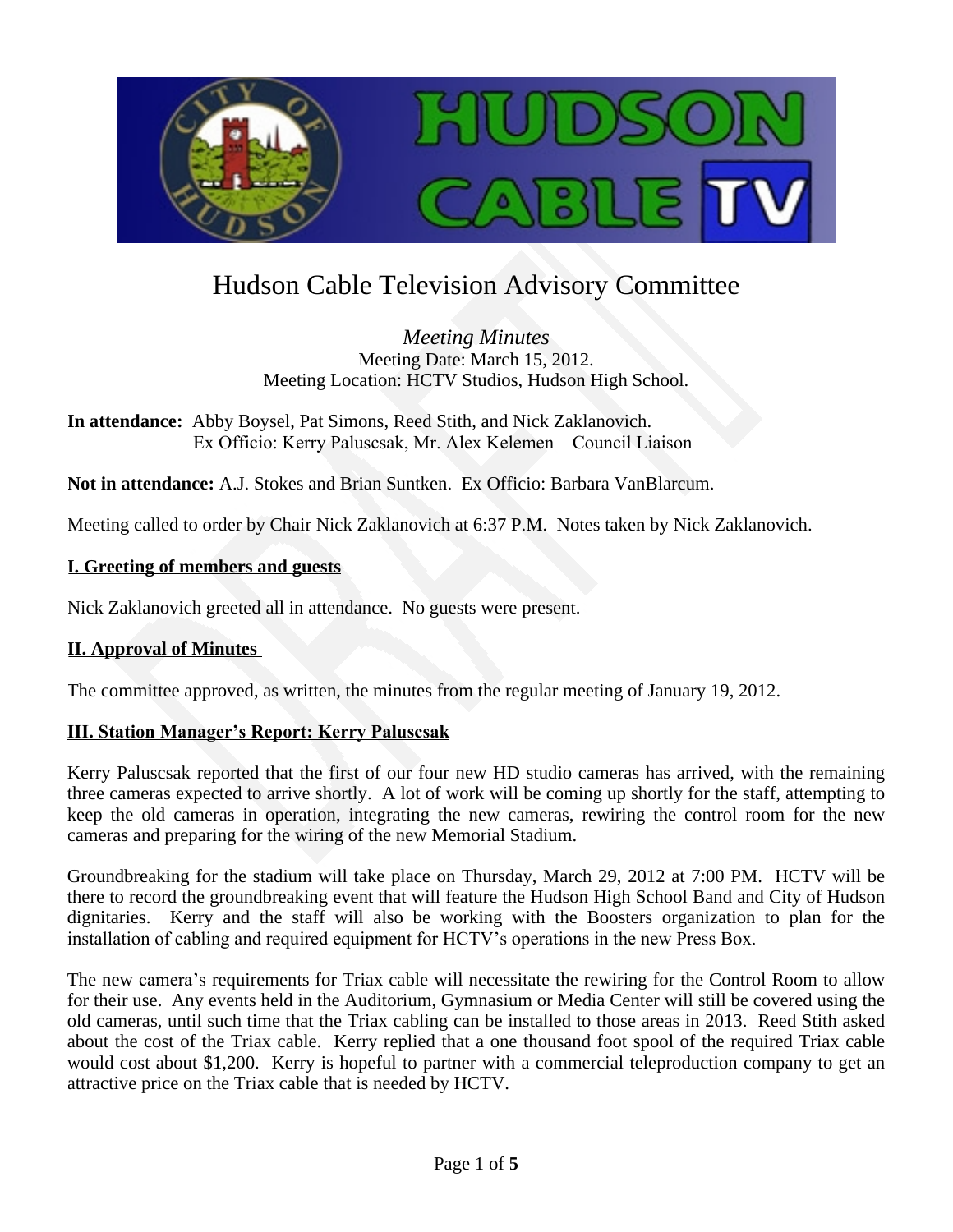

# Hudson Cable Television Advisory Committee

*Meeting Minutes* Meeting Date: March 15, 2012. Meeting Location: HCTV Studios, Hudson High School.

**In attendance:** Abby Boysel, Pat Simons, Reed Stith, and Nick Zaklanovich. Ex Officio: Kerry Paluscsak, Mr. Alex Kelemen – Council Liaison

**Not in attendance:** A.J. Stokes and Brian Suntken. Ex Officio: Barbara VanBlarcum.

Meeting called to order by Chair Nick Zaklanovich at 6:37 P.M. Notes taken by Nick Zaklanovich.

#### **I. Greeting of members and guests**

Nick Zaklanovich greeted all in attendance. No guests were present.

## **II. Approval of Minutes**

The committee approved, as written, the minutes from the regular meeting of January 19, 2012.

#### **III. Station Manager's Report: Kerry Paluscsak**

Kerry Paluscsak reported that the first of our four new HD studio cameras has arrived, with the remaining three cameras expected to arrive shortly. A lot of work will be coming up shortly for the staff, attempting to keep the old cameras in operation, integrating the new cameras, rewiring the control room for the new cameras and preparing for the wiring of the new Memorial Stadium.

Groundbreaking for the stadium will take place on Thursday, March 29, 2012 at 7:00 PM. HCTV will be there to record the groundbreaking event that will feature the Hudson High School Band and City of Hudson dignitaries. Kerry and the staff will also be working with the Boosters organization to plan for the installation of cabling and required equipment for HCTV's operations in the new Press Box.

The new camera's requirements for Triax cable will necessitate the rewiring for the Control Room to allow for their use. Any events held in the Auditorium, Gymnasium or Media Center will still be covered using the old cameras, until such time that the Triax cabling can be installed to those areas in 2013. Reed Stith asked about the cost of the Triax cable. Kerry replied that a one thousand foot spool of the required Triax cable would cost about \$1,200. Kerry is hopeful to partner with a commercial teleproduction company to get an attractive price on the Triax cable that is needed by HCTV.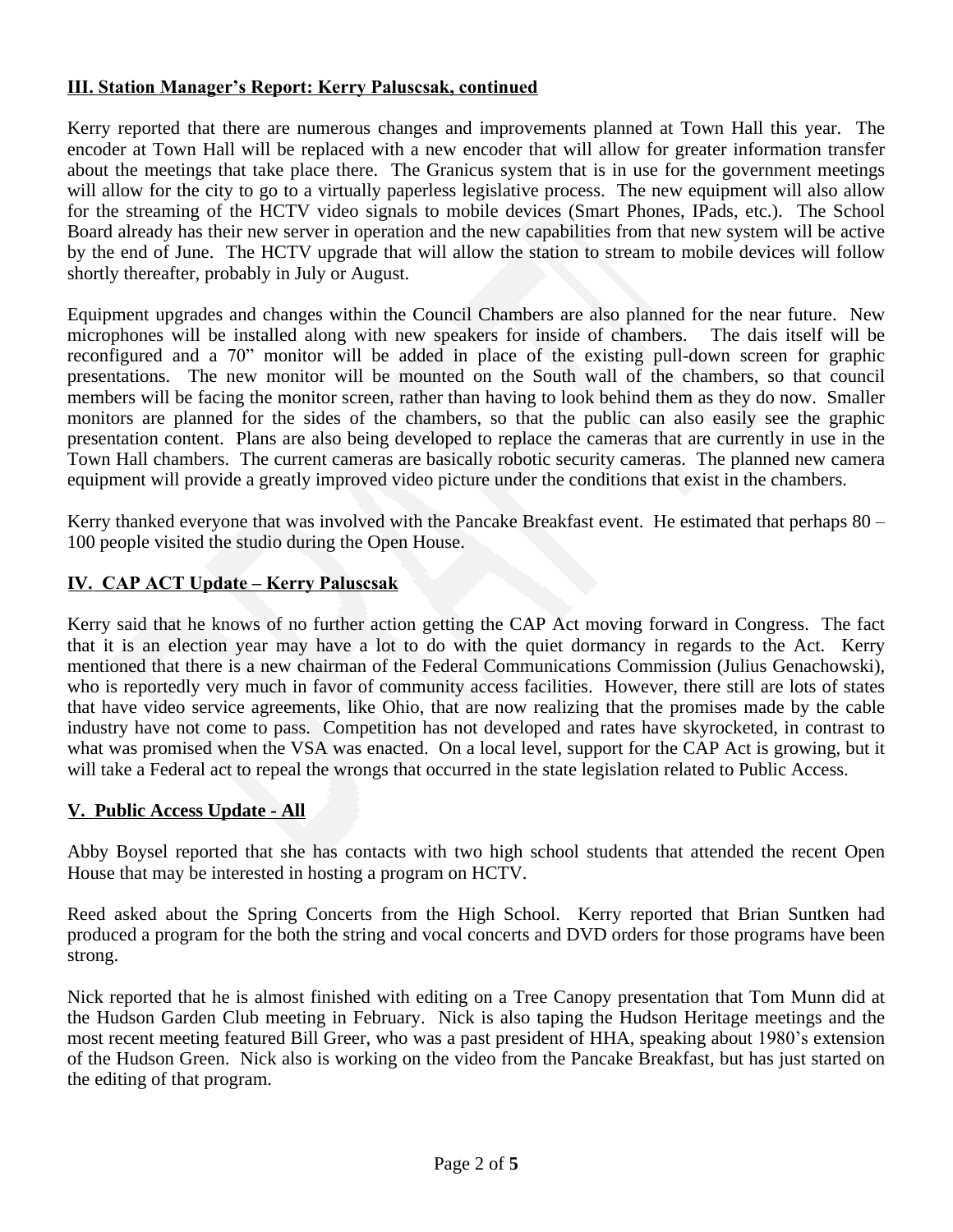# **III. Station Manager's Report: Kerry Paluscsak, continued**

Kerry reported that there are numerous changes and improvements planned at Town Hall this year. The encoder at Town Hall will be replaced with a new encoder that will allow for greater information transfer about the meetings that take place there. The Granicus system that is in use for the government meetings will allow for the city to go to a virtually paperless legislative process. The new equipment will also allow for the streaming of the HCTV video signals to mobile devices (Smart Phones, IPads, etc.). The School Board already has their new server in operation and the new capabilities from that new system will be active by the end of June. The HCTV upgrade that will allow the station to stream to mobile devices will follow shortly thereafter, probably in July or August.

Equipment upgrades and changes within the Council Chambers are also planned for the near future. New microphones will be installed along with new speakers for inside of chambers. The dais itself will be reconfigured and a 70" monitor will be added in place of the existing pull-down screen for graphic presentations. The new monitor will be mounted on the South wall of the chambers, so that council members will be facing the monitor screen, rather than having to look behind them as they do now. Smaller monitors are planned for the sides of the chambers, so that the public can also easily see the graphic presentation content. Plans are also being developed to replace the cameras that are currently in use in the Town Hall chambers. The current cameras are basically robotic security cameras. The planned new camera equipment will provide a greatly improved video picture under the conditions that exist in the chambers.

Kerry thanked everyone that was involved with the Pancake Breakfast event. He estimated that perhaps 80 – 100 people visited the studio during the Open House.

## **IV. CAP ACT Update – Kerry Paluscsak**

Kerry said that he knows of no further action getting the CAP Act moving forward in Congress. The fact that it is an election year may have a lot to do with the quiet dormancy in regards to the Act. Kerry mentioned that there is a new chairman of the Federal Communications Commission (Julius Genachowski), who is reportedly very much in favor of community access facilities. However, there still are lots of states that have video service agreements, like Ohio, that are now realizing that the promises made by the cable industry have not come to pass. Competition has not developed and rates have skyrocketed, in contrast to what was promised when the VSA was enacted. On a local level, support for the CAP Act is growing, but it will take a Federal act to repeal the wrongs that occurred in the state legislation related to Public Access.

#### **V. Public Access Update - All**

Abby Boysel reported that she has contacts with two high school students that attended the recent Open House that may be interested in hosting a program on HCTV.

Reed asked about the Spring Concerts from the High School. Kerry reported that Brian Suntken had produced a program for the both the string and vocal concerts and DVD orders for those programs have been strong.

Nick reported that he is almost finished with editing on a Tree Canopy presentation that Tom Munn did at the Hudson Garden Club meeting in February. Nick is also taping the Hudson Heritage meetings and the most recent meeting featured Bill Greer, who was a past president of HHA, speaking about 1980's extension of the Hudson Green. Nick also is working on the video from the Pancake Breakfast, but has just started on the editing of that program.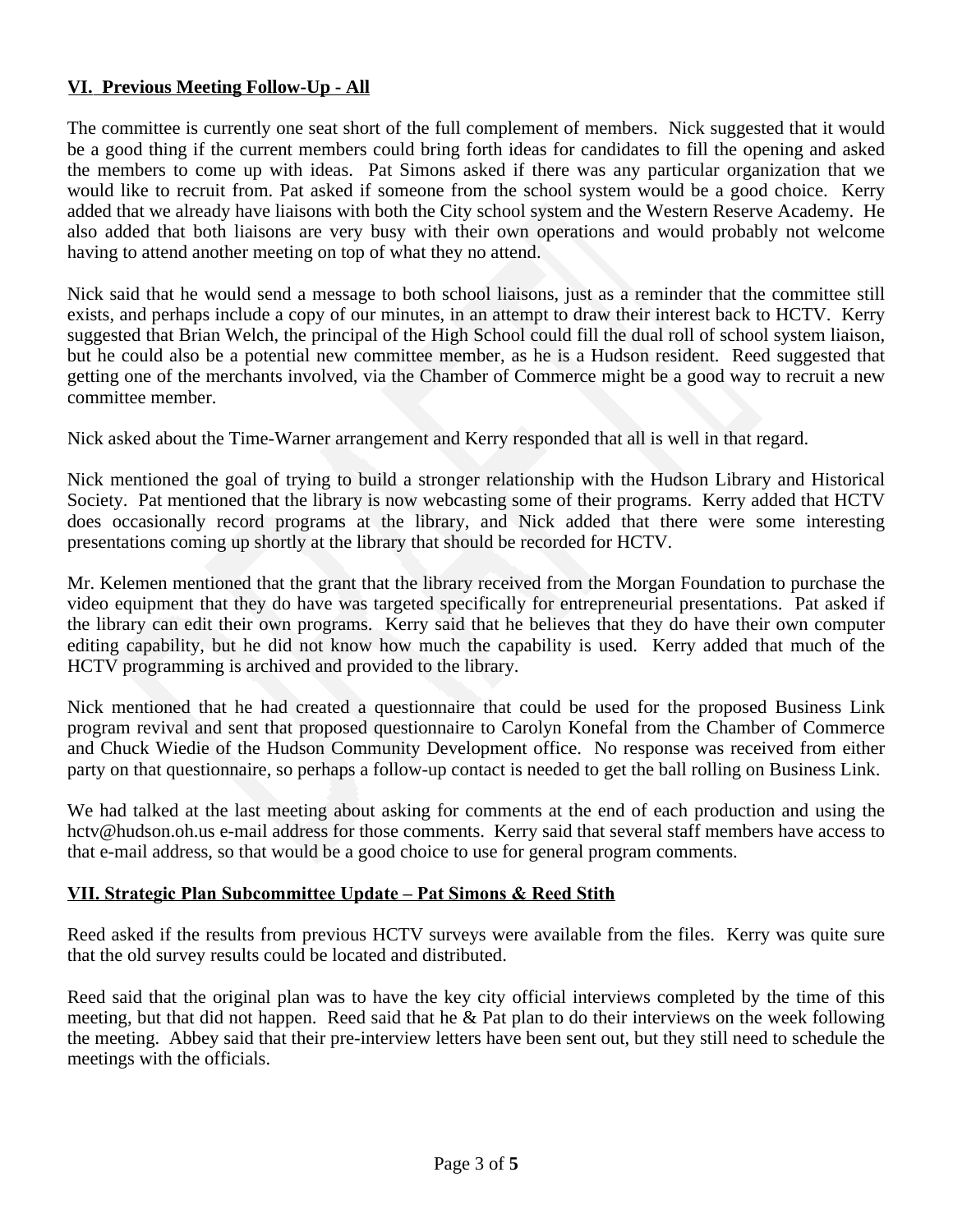# **VI. Previous Meeting Follow-Up - All**

The committee is currently one seat short of the full complement of members. Nick suggested that it would be a good thing if the current members could bring forth ideas for candidates to fill the opening and asked the members to come up with ideas. Pat Simons asked if there was any particular organization that we would like to recruit from. Pat asked if someone from the school system would be a good choice. Kerry added that we already have liaisons with both the City school system and the Western Reserve Academy. He also added that both liaisons are very busy with their own operations and would probably not welcome having to attend another meeting on top of what they no attend.

Nick said that he would send a message to both school liaisons, just as a reminder that the committee still exists, and perhaps include a copy of our minutes, in an attempt to draw their interest back to HCTV. Kerry suggested that Brian Welch, the principal of the High School could fill the dual roll of school system liaison, but he could also be a potential new committee member, as he is a Hudson resident. Reed suggested that getting one of the merchants involved, via the Chamber of Commerce might be a good way to recruit a new committee member.

Nick asked about the Time-Warner arrangement and Kerry responded that all is well in that regard.

Nick mentioned the goal of trying to build a stronger relationship with the Hudson Library and Historical Society. Pat mentioned that the library is now webcasting some of their programs. Kerry added that HCTV does occasionally record programs at the library, and Nick added that there were some interesting presentations coming up shortly at the library that should be recorded for HCTV.

Mr. Kelemen mentioned that the grant that the library received from the Morgan Foundation to purchase the video equipment that they do have was targeted specifically for entrepreneurial presentations. Pat asked if the library can edit their own programs. Kerry said that he believes that they do have their own computer editing capability, but he did not know how much the capability is used. Kerry added that much of the HCTV programming is archived and provided to the library.

Nick mentioned that he had created a questionnaire that could be used for the proposed Business Link program revival and sent that proposed questionnaire to Carolyn Konefal from the Chamber of Commerce and Chuck Wiedie of the Hudson Community Development office. No response was received from either party on that questionnaire, so perhaps a follow-up contact is needed to get the ball rolling on Business Link.

We had talked at the last meeting about asking for comments at the end of each production and using the hctv@hudson.oh.us e-mail address for those comments. Kerry said that several staff members have access to that e-mail address, so that would be a good choice to use for general program comments.

#### **VII. Strategic Plan Subcommittee Update – Pat Simons & Reed Stith**

Reed asked if the results from previous HCTV surveys were available from the files. Kerry was quite sure that the old survey results could be located and distributed.

Reed said that the original plan was to have the key city official interviews completed by the time of this meeting, but that did not happen. Reed said that he & Pat plan to do their interviews on the week following the meeting. Abbey said that their pre-interview letters have been sent out, but they still need to schedule the meetings with the officials.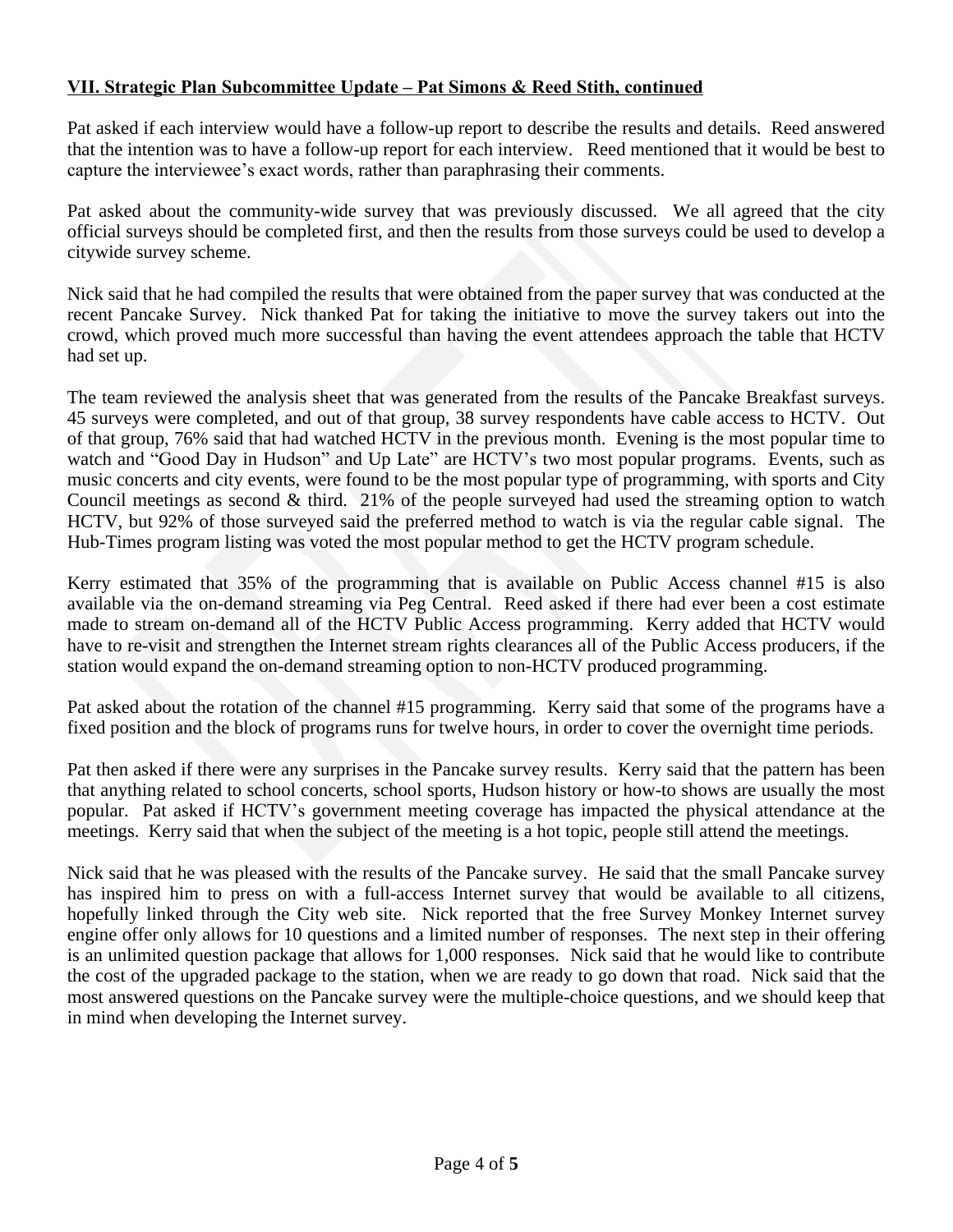# **VII. Strategic Plan Subcommittee Update – Pat Simons & Reed Stith, continued**

Pat asked if each interview would have a follow-up report to describe the results and details. Reed answered that the intention was to have a follow-up report for each interview. Reed mentioned that it would be best to capture the interviewee's exact words, rather than paraphrasing their comments.

Pat asked about the community-wide survey that was previously discussed. We all agreed that the city official surveys should be completed first, and then the results from those surveys could be used to develop a citywide survey scheme.

Nick said that he had compiled the results that were obtained from the paper survey that was conducted at the recent Pancake Survey. Nick thanked Pat for taking the initiative to move the survey takers out into the crowd, which proved much more successful than having the event attendees approach the table that HCTV had set up.

The team reviewed the analysis sheet that was generated from the results of the Pancake Breakfast surveys. 45 surveys were completed, and out of that group, 38 survey respondents have cable access to HCTV. Out of that group, 76% said that had watched HCTV in the previous month. Evening is the most popular time to watch and "Good Day in Hudson" and Up Late" are HCTV's two most popular programs. Events, such as music concerts and city events, were found to be the most popular type of programming, with sports and City Council meetings as second & third. 21% of the people surveyed had used the streaming option to watch HCTV, but 92% of those surveyed said the preferred method to watch is via the regular cable signal. The Hub-Times program listing was voted the most popular method to get the HCTV program schedule.

Kerry estimated that 35% of the programming that is available on Public Access channel #15 is also available via the on-demand streaming via Peg Central. Reed asked if there had ever been a cost estimate made to stream on-demand all of the HCTV Public Access programming. Kerry added that HCTV would have to re-visit and strengthen the Internet stream rights clearances all of the Public Access producers, if the station would expand the on-demand streaming option to non-HCTV produced programming.

Pat asked about the rotation of the channel #15 programming. Kerry said that some of the programs have a fixed position and the block of programs runs for twelve hours, in order to cover the overnight time periods.

Pat then asked if there were any surprises in the Pancake survey results. Kerry said that the pattern has been that anything related to school concerts, school sports, Hudson history or how-to shows are usually the most popular. Pat asked if HCTV's government meeting coverage has impacted the physical attendance at the meetings. Kerry said that when the subject of the meeting is a hot topic, people still attend the meetings.

Nick said that he was pleased with the results of the Pancake survey. He said that the small Pancake survey has inspired him to press on with a full-access Internet survey that would be available to all citizens, hopefully linked through the City web site. Nick reported that the free Survey Monkey Internet survey engine offer only allows for 10 questions and a limited number of responses. The next step in their offering is an unlimited question package that allows for 1,000 responses. Nick said that he would like to contribute the cost of the upgraded package to the station, when we are ready to go down that road. Nick said that the most answered questions on the Pancake survey were the multiple-choice questions, and we should keep that in mind when developing the Internet survey.